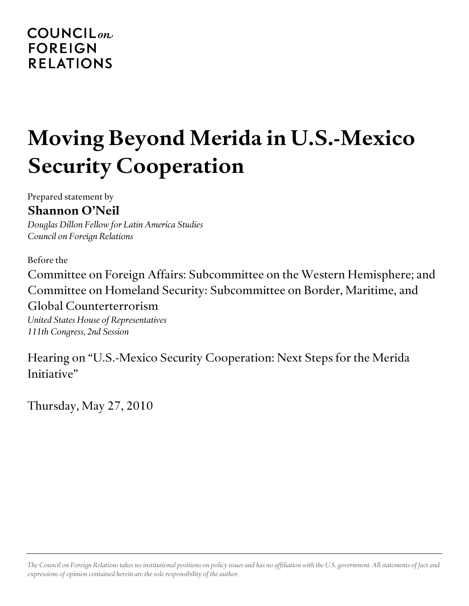# **COUNCIL**<sub>on</sub> **FOREIGN RELATIONS**

# **Moving Beyond Merida in U.S.-Mexico Security Cooperation**

Prepared statement by **Shannon O'Neil**

*Douglas Dillon Fellow for Latin America Studies Council on Foreign Relations*

Before the

Committee on Foreign Affairs: Subcommittee on the Western Hemisphere; and Committee on Homeland Security: Subcommittee on Border, Maritime, and

## Global Counterterrorism

*United States House of Representatives 111th Congress, 2nd Session*

Hearing on "U.S.-Mexico Security Cooperation: Next Steps for the Merida Initiative"

Thursday, May 27, 2010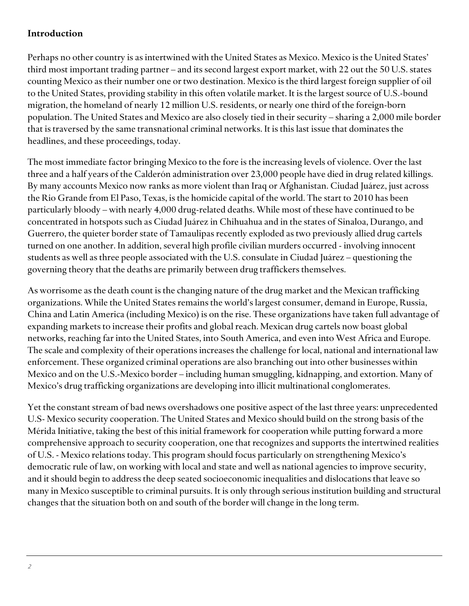#### **Introduction**

Perhaps no other country is as intertwined with the United States as Mexico. Mexico is the United States' third most important trading partner – and its second largest export market, with 22 out the 50 U.S. states counting Mexico as their number one or two destination. Mexico is the third largest foreign supplier of oil to the United States, providing stability in this often volatile market. It is the largest source of U.S.-bound migration, the homeland of nearly 12 million U.S. residents, or nearly one third of the foreign-born population. The United States and Mexico are also closely tied in their security – sharing a 2,000 mile border that is traversed by the same transnational criminal networks. It is this last issue that dominates the headlines, and these proceedings, today.

The most immediate factor bringing Mexico to the fore is the increasing levels of violence. Over the last three and a half years of the Calderón administration over 23,000 people have died in drug related killings. By many accounts Mexico now ranks as more violent than Iraq or Afghanistan. Ciudad Juárez, just across the Rio Grande from El Paso, Texas, is the homicide capital of the world. The start to 2010 has been particularly bloody – with nearly 4,000 drug-related deaths. While most of these have continued to be concentrated in hotspots such as Ciudad Juárez in Chihuahua and in the states of Sinaloa, Durango, and Guerrero, the quieter border state of Tamaulipas recently exploded as two previously allied drug cartels turned on one another. In addition, several high profile civilian murders occurred - involving innocent students as well as three people associated with the U.S. consulate in Ciudad Juárez – questioning the governing theory that the deaths are primarily between drug traffickers themselves.

As worrisome as the death count is the changing nature of the drug market and the Mexican trafficking organizations. While the United States remains the world's largest consumer, demand in Europe, Russia, China and Latin America (including Mexico) is on the rise. These organizations have taken full advantage of expanding markets to increase their profits and global reach. Mexican drug cartels now boast global networks, reaching far into the United States, into South America, and even into West Africa and Europe. The scale and complexity of their operations increases the challenge for local, national and international law enforcement. These organized criminal operations are also branching out into other businesses within Mexico and on the U.S.-Mexico border – including human smuggling, kidnapping, and extortion. Many of Mexico's drug trafficking organizations are developing into illicit multinational conglomerates.

Yet the constant stream of bad news overshadows one positive aspect of the last three years: unprecedented U.S- Mexico security cooperation. The United States and Mexico should build on the strong basis of the Mérida Initiative, taking the best of this initial framework for cooperation while putting forward a more comprehensive approach to security cooperation, one that recognizes and supports the intertwined realities of U.S. - Mexico relations today. This program should focus particularly on strengthening Mexico's democratic rule of law, on working with local and state and well as national agencies to improve security, and it should begin to address the deep seated socioeconomic inequalities and dislocations that leave so many in Mexico susceptible to criminal pursuits. It is only through serious institution building and structural changes that the situation both on and south of the border will change in the long term.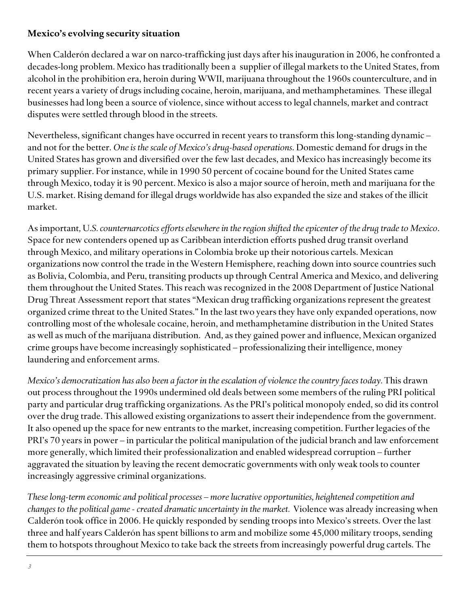#### **Mexico's evolving security situation**

When Calderón declared a war on narco-trafficking just days after his inauguration in 2006, he confronted a decades-long problem. Mexico has traditionally been a supplier of illegal markets to the United States, from alcohol in the prohibition era, heroin during WWII, marijuana throughout the 1960s counterculture, and in recent years a variety of drugs including cocaine, heroin, marijuana, and methamphetamines*.* These illegal businesses had long been a source of violence, since without access to legal channels, market and contract disputes were settled through blood in the streets.

Nevertheless, significant changes have occurred in recent years to transform this long-standing dynamic – and not for the better. *One is the scale of Mexico's drug-based operations*. Domestic demand for drugs in the United States has grown and diversified over the few last decades, and Mexico has increasingly become its primary supplier. For instance, while in 1990 50 percent of cocaine bound for the United States came through Mexico, today it is 90 percent. Mexico is also a major source of heroin, meth and marijuana for the U.S. market. Rising demand for illegal drugs worldwide has also expanded the size and stakes of the illicit market.

As important*,* U*.S. counternarcotics efforts elsewhere in the region shifted the epicenter of the drug trade to Mexico*. Space for new contenders opened up as Caribbean interdiction efforts pushed drug transit overland through Mexico, and military operations in Colombia broke up their notorious cartels. Mexican organizations now control the trade in the Western Hemisphere, reaching down into source countries such as Bolivia, Colombia, and Peru, transiting products up through Central America and Mexico, and delivering them throughout the United States. This reach was recognized in the 2008 Department of Justice National Drug Threat Assessment report that states "Mexican drug trafficking organizations represent the greatest organized crime threat to the United States." In the last two years they have only expanded operations, now controlling most of the wholesale cocaine, heroin, and methamphetamine distribution in the United States as well as much of the marijuana distribution. And, as they gained power and influence, Mexican organized crime groups have become increasingly sophisticated – professionalizing their intelligence, money laundering and enforcement arms.

*Mexico's democratization has also been a factor in the escalation of violence the country faces today.* This drawn out process throughout the 1990s undermined old deals between some members of the ruling PRI political party and particular drug trafficking organizations. As the PRI's political monopoly ended, so did its control over the drug trade. This allowed existing organizations to assert their independence from the government. It also opened up the space for new entrants to the market, increasing competition. Further legacies of the PRI's 70 years in power – in particular the political manipulation of the judicial branch and law enforcement more generally, which limited their professionalization and enabled widespread corruption – further aggravated the situation by leaving the recent democratic governments with only weak tools to counter increasingly aggressive criminal organizations.

*These long-term economic and political processes – more lucrative opportunities, heightened competition and changes to the political game - created dramatic uncertainty in the market.* Violence was already increasing when Calderón took office in 2006. He quickly responded by sending troops into Mexico's streets. Over the last three and half years Calderón has spent billions to arm and mobilize some 45,000 military troops, sending them to hotspots throughout Mexico to take back the streets from increasingly powerful drug cartels. The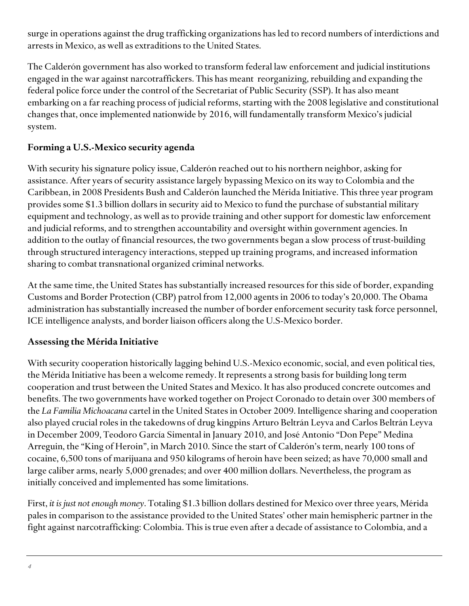surge in operations against the drug trafficking organizations has led to record numbers of interdictions and arrests in Mexico, as well as extraditions to the United States.

The Calderón government has also worked to transform federal law enforcement and judicial institutions engaged in the war against narcotraffickers. This has meant reorganizing, rebuilding and expanding the federal police force under the control of the Secretariat of Public Security (SSP). It has also meant embarking on a far reaching process of judicial reforms, starting with the 2008 legislative and constitutional changes that, once implemented nationwide by 2016, will fundamentally transform Mexico's judicial system.

#### **Forming a U.S.-Mexico security agenda**

With security his signature policy issue, Calderón reached out to his northern neighbor, asking for assistance. After years of security assistance largely bypassing Mexico on its way to Colombia and the Caribbean, in 2008 Presidents Bush and Calderón launched the Mérida Initiative. This three year program provides some \$1.3 billion dollars in security aid to Mexico to fund the purchase of substantial military equipment and technology, as well as to provide training and other support for domestic law enforcement and judicial reforms, and to strengthen accountability and oversight within government agencies. In addition to the outlay of financial resources, the two governments began a slow process of trust-building through structured interagency interactions, stepped up training programs, and increased information sharing to combat transnational organized criminal networks.

At the same time, the United States has substantially increased resources for this side of border, expanding Customs and Border Protection (CBP) patrol from 12,000 agents in 2006 to today's 20,000. The Obama administration has substantially increased the number of border enforcement security task force personnel, ICE intelligence analysts, and border liaison officers along the U.S-Mexico border.

#### **Assessing the Mérida Initiative**

With security cooperation historically lagging behind U.S.-Mexico economic, social, and even political ties, the Mérida Initiative has been a welcome remedy. It represents a strong basis for building long term cooperation and trust between the United States and Mexico. It has also produced concrete outcomes and benefits. The two governments have worked together on Project Coronado to detain over 300 members of the *La Familia Michoacana* cartel in the United States in October 2009. Intelligence sharing and cooperation also played crucial roles in the takedowns of drug kingpins Arturo Beltrán Leyva and Carlos Beltrán Leyva in December 2009, Teodoro García Simental in January 2010, and José Antonio "Don Pepe" Medina Arreguin, the "King of Heroin", in March 2010. Since the start of Calderón's term, nearly 100 tons of cocaine, 6,500 tons of marijuana and 950 kilograms of heroin have been seized; as have 70,000 small and large caliber arms, nearly 5,000 grenades; and over 400 million dollars. Nevertheless, the program as initially conceived and implemented has some limitations.

First, *it is just not enough money*. Totaling \$1.3 billion dollars destined for Mexico over three years, Mérida pales in comparison to the assistance provided to the United States' other main hemispheric partner in the fight against narcotrafficking: Colombia. This is true even after a decade of assistance to Colombia, and a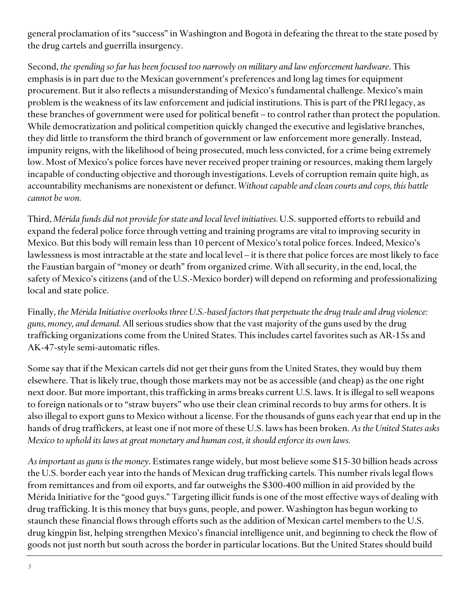general proclamation of its "success" in Washington and Bogotá in defeating the threat to the state posed by the drug cartels and guerrilla insurgency.

Second, *the spending so far has been focused too narrowly on military and law enforcement hardware*. This emphasis is in part due to the Mexican government's preferences and long lag times for equipment procurement. But it also reflects a misunderstanding of Mexico's fundamental challenge. Mexico's main problem is the weakness of its law enforcement and judicial institutions. This is part of the PRI legacy, as these branches of government were used for political benefit – to control rather than protect the population. While democratization and political competition quickly changed the executive and legislative branches, they did little to transform the third branch of government or law enforcement more generally. Instead, impunity reigns, with the likelihood of being prosecuted, much less convicted, for a crime being extremely low. Most of Mexico's police forces have never received proper training or resources, making them largely incapable of conducting objective and thorough investigations. Levels of corruption remain quite high, as accountability mechanisms are nonexistent or defunct. *Without capable and clean courts and cops, this battle cannot be won.* 

Third, *Mérida funds did not provide for state and local level initiatives.* U.S. supported efforts to rebuild and expand the federal police force through vetting and training programs are vital to improving security in Mexico. But this body will remain less than 10 percent of Mexico's total police forces. Indeed, Mexico's lawlessness is most intractable at the state and local level – it is there that police forces are most likely to face the Faustian bargain of "money or death" from organized crime. With all security, in the end, local, the safety of Mexico's citizens (and of the U.S.-Mexico border) will depend on reforming and professionalizing local and state police.

Finally, *the Mérida Initiative overlooks three U.S.-based factors that perpetuate the drug trade and drug violence: guns, money, and demand.* All serious studies show that the vast majority of the guns used by the drug trafficking organizations come from the United States. This includes cartel favorites such as AR-15s and AK-47-style semi-automatic rifles.

Some say that if the Mexican cartels did not get their guns from the United States, they would buy them elsewhere. That is likely true, though those markets may not be as accessible (and cheap) as the one right next door. But more important, this trafficking in arms breaks current U.S. laws. It is illegal to sell weapons to foreign nationals or to "straw buyers" who use their clean criminal records to buy arms for others. It is also illegal to export guns to Mexico without a license. For the thousands of guns each year that end up in the hands of drug traffickers, at least one if not more of these U.S. laws has been broken. *As the United States asks Mexico to uphold its laws at great monetary and human cost, it should enforce its own laws.*

*As important as guns is the money*. Estimates range widely, but most believe some \$15-30 billion heads across the U.S. border each year into the hands of Mexican drug trafficking cartels. This number rivals legal flows from remittances and from oil exports, and far outweighs the \$300-400 million in aid provided by the Mérida Initiative for the "good guys." Targeting illicit funds is one of the most effective ways of dealing with drug trafficking. It is this money that buys guns, people, and power. Washington has begun working to staunch these financial flows through efforts such as the addition of Mexican cartel members to the U.S. drug kingpin list, helping strengthen Mexico's financial intelligence unit, and beginning to check the flow of goods not just north but south across the border in particular locations. But the United States should build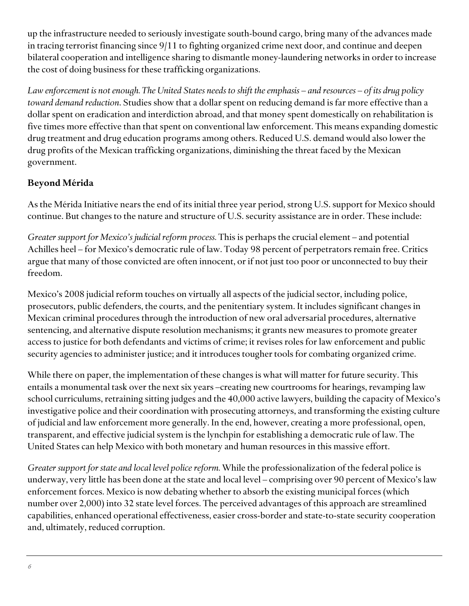up the infrastructure needed to seriously investigate south-bound cargo, bring many of the advances made in tracing terrorist financing since 9/11 to fighting organized crime next door, and continue and deepen bilateral cooperation and intelligence sharing to dismantle money-laundering networks in order to increase the cost of doing business for these trafficking organizations.

*Law enforcement is not enough. The United States needs to shift the emphasis – and resources – of its drug policy toward demand reduction*. Studies show that a dollar spent on reducing demand is far more effective than a dollar spent on eradication and interdiction abroad, and that money spent domestically on rehabilitation is five times more effective than that spent on conventional law enforcement. This means expanding domestic drug treatment and drug education programs among others. Reduced U.S. demand would also lower the drug profits of the Mexican trafficking organizations, diminishing the threat faced by the Mexican government.

### **Beyond Mérida**

As the Mérida Initiative nears the end of its initial three year period, strong U.S. support for Mexico should continue. But changes to the nature and structure of U.S. security assistance are in order. These include:

*Greater support for Mexico's judicial reform process.* This is perhaps the crucial element – and potential Achilles heel – for Mexico's democratic rule of law. Today 98 percent of perpetrators remain free. Critics argue that many of those convicted are often innocent, or if not just too poor or unconnected to buy their freedom.

Mexico's 2008 judicial reform touches on virtually all aspects of the judicial sector, including police, prosecutors, public defenders, the courts, and the penitentiary system. It includes significant changes in Mexican criminal procedures through the introduction of new oral adversarial procedures, alternative sentencing, and alternative dispute resolution mechanisms; it grants new measures to promote greater access to justice for both defendants and victims of crime; it revises roles for law enforcement and public security agencies to administer justice; and it introduces tougher tools for combating organized crime.

While there on paper, the implementation of these changes is what will matter for future security. This entails a monumental task over the next six years –creating new courtrooms for hearings, revamping law school curriculums, retraining sitting judges and the 40,000 active lawyers, building the capacity of Mexico's investigative police and their coordination with prosecuting attorneys, and transforming the existing culture of judicial and law enforcement more generally. In the end, however, creating a more professional, open, transparent, and effective judicial system is the lynchpin for establishing a democratic rule of law. The United States can help Mexico with both monetary and human resources in this massive effort.

*Greater support for state and local level police reform.* While the professionalization of the federal police is underway, very little has been done at the state and local level – comprising over 90 percent of Mexico's law enforcement forces. Mexico is now debating whether to absorb the existing municipal forces (which number over 2,000) into 32 state level forces. The perceived advantages of this approach are streamlined capabilities, enhanced operational effectiveness, easier cross-border and state-to-state security cooperation and, ultimately, reduced corruption.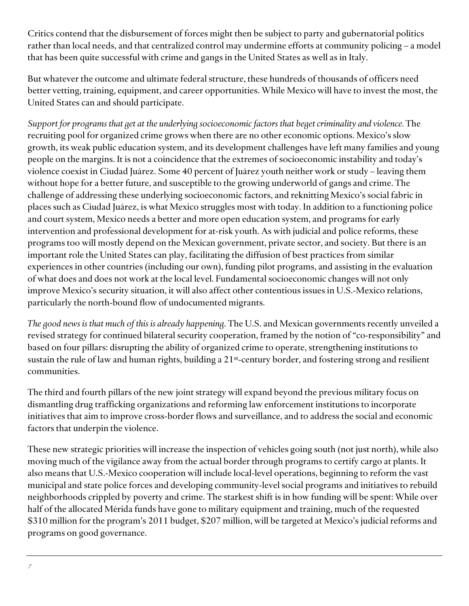Critics contend that the disbursement of forces might then be subject to party and gubernatorial politics rather than local needs, and that centralized control may undermine efforts at community policing – a model that has been quite successful with crime and gangs in the United States as well as in Italy.

But whatever the outcome and ultimate federal structure, these hundreds of thousands of officers need better vetting, training, equipment, and career opportunities. While Mexico will have to invest the most, the United States can and should participate.

*Support for programs that get at the underlying socioeconomic factors that beget criminality and violence.* The recruiting pool for organized crime grows when there are no other economic options. Mexico's slow growth, its weak public education system, and its development challenges have left many families and young people on the margins. It is not a coincidence that the extremes of socioeconomic instability and today's violence coexist in Ciudad Juárez. Some 40 percent of Juárez youth neither work or study – leaving them without hope for a better future, and susceptible to the growing underworld of gangs and crime. The challenge of addressing these underlying socioeconomic factors, and reknitting Mexico's social fabric in places such as Ciudad Juárez, is what Mexico struggles most with today. In addition to a functioning police and court system, Mexico needs a better and more open education system, and programs for early intervention and professional development for at-risk youth. As with judicial and police reforms, these programs too will mostly depend on the Mexican government, private sector, and society. But there is an important role the United States can play, facilitating the diffusion of best practices from similar experiences in other countries (including our own), funding pilot programs, and assisting in the evaluation of what does and does not work at the local level. Fundamental socioeconomic changes will not only improve Mexico's security situation, it will also affect other contentious issues in U.S.-Mexico relations, particularly the north-bound flow of undocumented migrants.

*The good news is that much of this is already happening*. The U.S. and Mexican governments recently unveiled a revised strategy for continued bilateral security cooperation, framed by the notion of "co-responsibility" and based on four pillars: disrupting the ability of organized crime to operate, strengthening institutions to sustain the rule of law and human rights, building a 21st-century border, and fostering strong and resilient communities.

The third and fourth pillars of the new joint strategy will expand beyond the previous military focus on dismantling drug trafficking organizations and reforming law enforcement institutions to incorporate initiatives that aim to improve cross-border flows and surveillance, and to address the social and economic factors that underpin the violence.

These new strategic priorities will increase the inspection of vehicles going south (not just north), while also moving much of the vigilance away from the actual border through programs to certify cargo at plants. It also means that U.S.-Mexico cooperation will include local-level operations, beginning to reform the vast municipal and state police forces and developing community-level social programs and initiatives to rebuild neighborhoods crippled by poverty and crime. The starkest shift is in how funding will be spent: While over half of the allocated Mérida funds have gone to military equipment and training, much of the requested \$310 million for the program's 2011 budget, \$207 million, will be targeted at Mexico's judicial reforms and programs on good governance.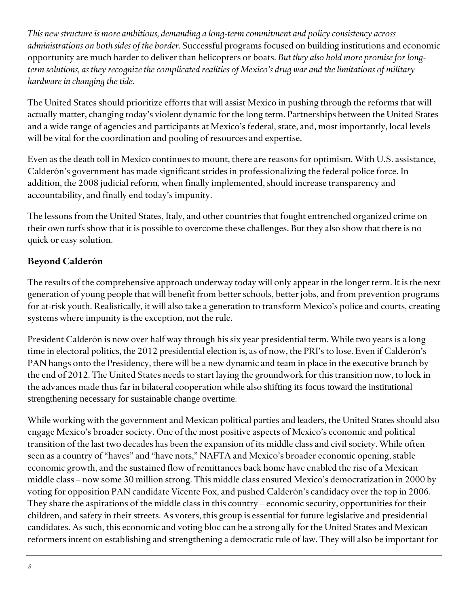*This new structure is more ambitious, demanding a long-term commitment and policy consistency across administrations on both sides of the border.* Successful programs focused on building institutions and economic opportunity are much harder to deliver than helicopters or boats. *But they also hold more promise for longterm solutions, as they recognize the complicated realities of Mexico's drug war and the limitations of military hardware in changing the tide.* 

The United States should prioritize efforts that will assist Mexico in pushing through the reforms that will actually matter, changing today's violent dynamic for the long term. Partnerships between the United States and a wide range of agencies and participants at Mexico's federal, state, and, most importantly, local levels will be vital for the coordination and pooling of resources and expertise.

Even as the death toll in Mexico continues to mount, there are reasons for optimism. With U.S. assistance, Calderón's government has made significant strides in professionalizing the federal police force. In addition, the 2008 judicial reform, when finally implemented, should increase transparency and accountability, and finally end today's impunity.

The lessons from the United States, Italy, and other countries that fought entrenched organized crime on their own turfs show that it is possible to overcome these challenges. But they also show that there is no quick or easy solution.

#### **Beyond Calderón**

The results of the comprehensive approach underway today will only appear in the longer term. It is the next generation of young people that will benefit from better schools, better jobs, and from prevention programs for at-risk youth. Realistically, it will also take a generation to transform Mexico's police and courts, creating systems where impunity is the exception, not the rule.

President Calderón is now over half way through his six year presidential term. While two years is a long time in electoral politics, the 2012 presidential election is, as of now, the PRI's to lose. Even if Calderón's PAN hangs onto the Presidency, there will be a new dynamic and team in place in the executive branch by the end of 2012. The United States needs to start laying the groundwork for this transition now, to lock in the advances made thus far in bilateral cooperation while also shifting its focus toward the institutional strengthening necessary for sustainable change overtime.

While working with the government and Mexican political parties and leaders, the United States should also engage Mexico's broader society. One of the most positive aspects of Mexico's economic and political transition of the last two decades has been the expansion of its middle class and civil society. While often seen as a country of "haves" and "have nots," NAFTA and Mexico's broader economic opening, stable economic growth, and the sustained flow of remittances back home have enabled the rise of a Mexican middle class – now some 30 million strong. This middle class ensured Mexico's democratization in 2000 by voting for opposition PAN candidate Vicente Fox, and pushed Calderón's candidacy over the top in 2006. They share the aspirations of the middle class in this country – economic security, opportunities for their children, and safety in their streets. As voters, this group is essential for future legislative and presidential candidates. As such, this economic and voting bloc can be a strong ally for the United States and Mexican reformers intent on establishing and strengthening a democratic rule of law. They will also be important for